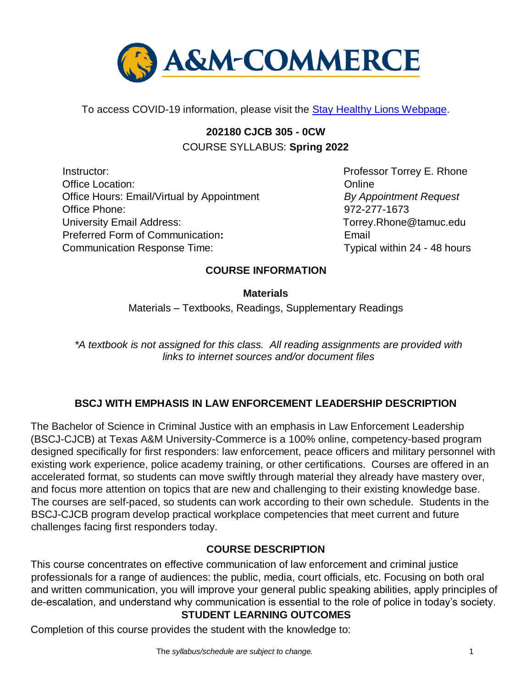

To access COVID-19 information, please visit the **Stay Healthy Lions Webpage**.

# **202180 CJCB 305 - 0CW** COURSE SYLLABUS: **Spring 2022**

Instructor: **Professor Torrey E. Rhone** Office Location: Online Office Hours: Email/Virtual by Appointment *By Appointment Request* Office Phone: 972-277-1673 University Email Address: Torrey.Rhone@tamuc.edu Preferred Form of Communication**:** Email Communication Response Time: The Communication Response Time:

## **COURSE INFORMATION**

**Materials** 

Materials – Textbooks, Readings, Supplementary Readings

*\*A textbook is not assigned for this class. All reading assignments are provided with links to internet sources and/or document files* 

## **BSCJ WITH EMPHASIS IN LAW ENFORCEMENT LEADERSHIP DESCRIPTION**

The Bachelor of Science in Criminal Justice with an emphasis in Law Enforcement Leadership (BSCJ-CJCB) at Texas A&M University-Commerce is a 100% online, competency-based program designed specifically for first responders: law enforcement, peace officers and military personnel with existing work experience, police academy training, or other certifications. Courses are offered in an accelerated format, so students can move swiftly through material they already have mastery over, and focus more attention on topics that are new and challenging to their existing knowledge base. The courses are self-paced, so students can work according to their own schedule. Students in the BSCJ-CJCB program develop practical workplace competencies that meet current and future challenges facing first responders today.

## **[COURSE DESCRIPTION](http://catalog.tamuc.edu/undergrad/colleges-and-departments/college-of-innovation-design/baas-organizational-leadership/?_ga=2.81546143.928332977.1616426723-584154711.1595512675)**

This course concentrates on effective communication of law enforcement and criminal justice professionals for a range of audiences: the public, media, court officials, etc. Focusing on both oral and written communication, you will improve your general public speaking abilities, apply principles of de-escalation, and understand why communication is essential to the role of police in today's society.

## **STUDENT LEARNING OUTCOMES**

Completion of this course provides the student with the knowledge to: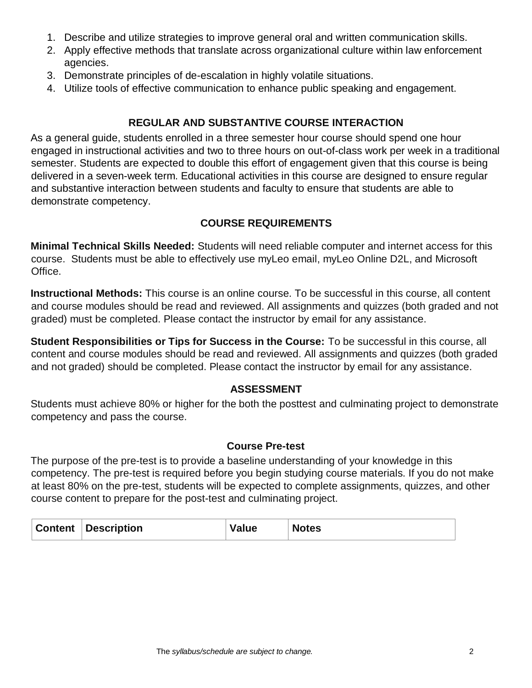- 1. Describe and utilize strategies to improve general oral and written communication skills.
- 2. Apply effective methods that translate across organizational culture within law enforcement agencies.
- 3. Demonstrate principles of de-escalation in highly volatile situations.
- 4. Utilize tools of effective communication to enhance public speaking and engagement.

#### **REGULAR AND SUBSTANTIVE COURSE INTERACTION**

As a general guide, students enrolled in a three semester hour course should spend one hour engaged in instructional activities and two to three hours on out-of-class work per week in a traditional semester. Students are expected to double this effort of engagement given that this course is being delivered in a seven-week term. Educational activities in this course are designed to ensure regular and substantive interaction between students and faculty to ensure that students are able to demonstrate competency.

### **COURSE REQUIREMENTS**

**Minimal Technical Skills Needed:** Students will need reliable computer and internet access for this course. Students must be able to effectively use myLeo email, myLeo Online D2L, and Microsoft Office.

**Instructional Methods:** This course is an online course. To be successful in this course, all content and course modules should be read and reviewed. All assignments and quizzes (both graded and not graded) must be completed. Please contact the instructor by email for any assistance.

**Student Responsibilities or Tips for Success in the Course:** To be successful in this course, all content and course modules should be read and reviewed. All assignments and quizzes (both graded and not graded) should be completed. Please contact the instructor by email for any assistance.

#### **ASSESSMENT**

Students must achieve 80% or higher for the both the posttest and culminating project to demonstrate competency and pass the course.

#### **Course Pre-test**

The purpose of the pre-test is to provide a baseline understanding of your knowledge in this competency. The pre-test is required before you begin studying course materials. If you do not make at least 80% on the pre-test, students will be expected to complete assignments, quizzes, and other course content to prepare for the post-test and culminating project.

| <b>Content</b> | <b>Description</b> | Value | <b>Notes</b> |
|----------------|--------------------|-------|--------------|
|----------------|--------------------|-------|--------------|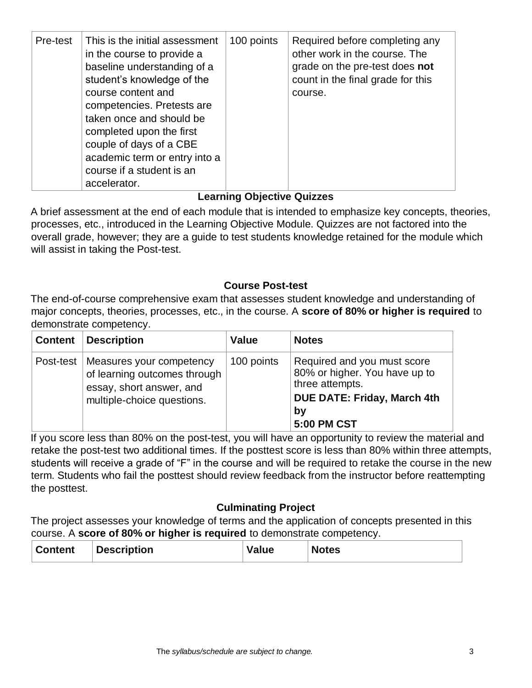| Pre-test | This is the initial assessment<br>in the course to provide a<br>baseline understanding of a<br>student's knowledge of the<br>course content and<br>competencies. Pretests are<br>taken once and should be<br>completed upon the first<br>couple of days of a CBE<br>academic term or entry into a<br>course if a student is an<br>accelerator. | 100 points | Required before completing any<br>other work in the course. The<br>grade on the pre-test does not<br>count in the final grade for this<br>course. |
|----------|------------------------------------------------------------------------------------------------------------------------------------------------------------------------------------------------------------------------------------------------------------------------------------------------------------------------------------------------|------------|---------------------------------------------------------------------------------------------------------------------------------------------------|
|----------|------------------------------------------------------------------------------------------------------------------------------------------------------------------------------------------------------------------------------------------------------------------------------------------------------------------------------------------------|------------|---------------------------------------------------------------------------------------------------------------------------------------------------|

## **Learning Objective Quizzes**

A brief assessment at the end of each module that is intended to emphasize key concepts, theories, processes, etc., introduced in the Learning Objective Module. Quizzes are not factored into the overall grade, however; they are a guide to test students knowledge retained for the module which will assist in taking the Post-test.

### **Course Post-test**

The end-of-course comprehensive exam that assesses student knowledge and understanding of major concepts, theories, processes, etc., in the course. A **score of 80% or higher is required** to demonstrate competency.

| <b>Content</b> | <b>Description</b>                                                                                                             | <b>Value</b> | <b>Notes</b>                                                                                                                               |
|----------------|--------------------------------------------------------------------------------------------------------------------------------|--------------|--------------------------------------------------------------------------------------------------------------------------------------------|
|                | Post-test   Measures your competency<br>of learning outcomes through<br>essay, short answer, and<br>multiple-choice questions. | 100 points   | Required and you must score<br>80% or higher. You have up to<br>three attempts.<br><b>DUE DATE: Friday, March 4th</b><br>by<br>5:00 PM CST |

If you score less than 80% on the post-test, you will have an opportunity to review the material and retake the post-test two additional times. If the posttest score is less than 80% within three attempts, students will receive a grade of "F" in the course and will be required to retake the course in the new term. Students who fail the posttest should review feedback from the instructor before reattempting the posttest.

### **Culminating Project**

The project assesses your knowledge of terms and the application of concepts presented in this course. A **score of 80% or higher is required** to demonstrate competency.

| <b>Content</b> | <b>Description</b> | Value | <b>Notes</b> |
|----------------|--------------------|-------|--------------|
|----------------|--------------------|-------|--------------|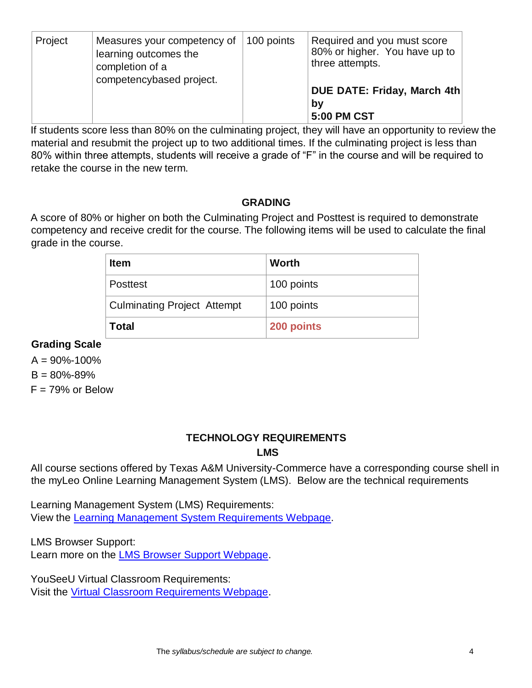| Project | Measures your competency of<br>learning outcomes the<br>completion of a<br>competencybased project. | 100 points | Required and you must score<br>80% or higher. You have up to<br>three attempts. |
|---------|-----------------------------------------------------------------------------------------------------|------------|---------------------------------------------------------------------------------|
|         |                                                                                                     |            | DUE DATE: Friday, March 4th<br>bv<br><b>5:00 PM CST</b>                         |

If students score less than 80% on the culminating project, they will have an opportunity to review the material and resubmit the project up to two additional times. If the culminating project is less than 80% within three attempts, students will receive a grade of "F" in the course and will be required to retake the course in the new term.

#### **GRADING**

A score of 80% or higher on both the Culminating Project and Posttest is required to demonstrate competency and receive credit for the course. The following items will be used to calculate the final grade in the course.

| <b>Item</b>                        | Worth      |
|------------------------------------|------------|
| <b>Posttest</b>                    | 100 points |
| <b>Culminating Project Attempt</b> | 100 points |
| <b>Total</b>                       | 200 points |

#### **Grading Scale**

 $A = 90\% - 100\%$  $B = 80\% - 89\%$  $F = 79%$  or Below

#### **TECHNOLOGY REQUIREMENTS LMS**

All course sections offered by Texas A&M University-Commerce have a corresponding course shell in the myLeo Online Learning Management System (LMS). Below are the technical requirements

Learning Management System (LMS) Requirements: View the [Learning Management System Requirements Webpage.](https://community.brightspace.com/s/article/Brightspace-Platform-Requirements) 

LMS Browser Support: Learn more on the [LMS Browser Support Webpage.](https://documentation.brightspace.com/EN/brightspace/requirements/all/browser_support.htm)

YouSeeU Virtual Classroom Requirements: Visit the [Virtual Classroom Requirements Webpage.](https://support.youseeu.com/hc/en-us/articles/115007031107-Basic-System-Requirements)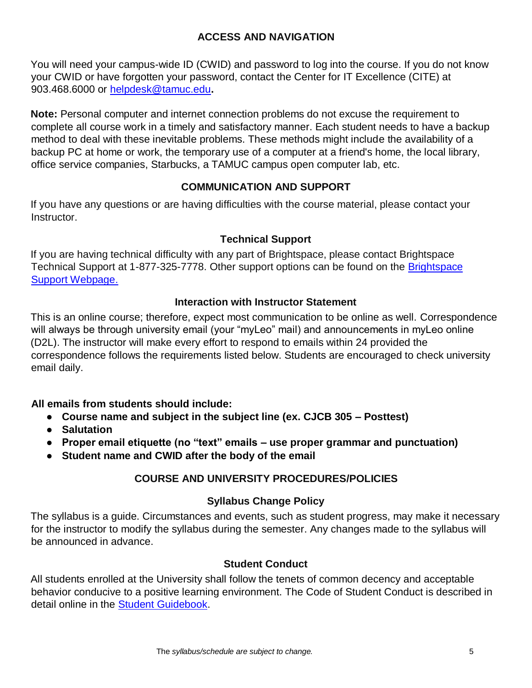### **ACCESS AND NAVIGATION**

You will need your campus-wide ID (CWID) and password to log into the course. If you do not know your CWID or have forgotten your password, contact the Center for IT Excellence (CITE) at 903.468.6000 or helpdesk@tamuc.edu**.** 

**Note:** Personal computer and internet connection problems do not excuse the requirement to complete all course work in a timely and satisfactory manner. Each student needs to have a backup method to deal with these inevitable problems. These methods might include the availability of a backup PC at home or work, the temporary use of a computer at a friend's home, the local library, office service companies, Starbucks, a TAMUC campus open computer lab, etc.

### **COMMUNICATION AND SUPPORT**

If you have any questions or are having difficulties with the course material, please contact your Instructor.

### **Technical Support**

If you are having technical difficulty with any part of Brightspace, please contact Brightspace Technical Support at 1-877-325-7778. Other support options can be found on the **Brightspace** [Support Webpage.](https://community.brightspace.com/support/s/contactsupport)

#### **Interaction with Instructor Statement**

This is an online course; therefore, expect most communication to be online as well. Correspondence will always be through university email (your "myLeo" mail) and announcements in myLeo online (D2L). The instructor will make every effort to respond to emails within 24 provided the correspondence follows the requirements listed below. Students are encouraged to check university email daily.

### **All emails from students should include:**

- **Course name and subject in the subject line (ex. CJCB 305 – Posttest)**
- **Salutation**
- **Proper email etiquette (no "text" emails – use proper grammar and punctuation)**
- **Student name and CWID after the body of the email**

### **COURSE AND UNIVERSITY PROCEDURES/POLICIES**

### **Syllabus Change Policy**

The syllabus is a guide. Circumstances and events, such as student progress, may make it necessary for the instructor to modify the syllabus during the semester. Any changes made to the syllabus will be announced in advance.

#### **Student Conduct**

All students enrolled at the University shall follow the tenets of common decency and acceptable behavior conducive to a positive learning environment. The Code of Student Conduct is described in detail online in the [Student Guidebook.](http://www.tamuc.edu/Admissions/oneStopShop/undergraduateAdmissions/studentGuidebook.aspx)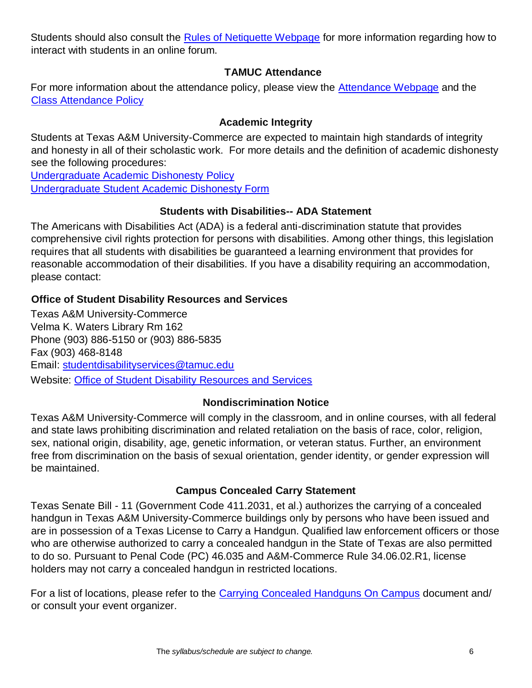Students should also consult the [Rules of Netiquette Webpage](https://www.britannica.com/topic/netiquette) for more information regarding how to interact with students in an online forum.

### **TAMUC Attendance**

For more information about the attendance policy, please view the [Attendance Webpage](http://www.tamuc.edu/admissions/registrar/generalInformation/attendance.aspx) and the [Class Attendance Policy](http://www.tamuc.edu/aboutUs/policiesProceduresStandardsStatements/rulesProcedures/13students/academic/13.99.99.R0.01.pdf)

## **Academic Integrity**

Students at Texas A&M University-Commerce are expected to maintain high standards of integrity and honesty in all of their scholastic work. For more details and the definition of academic dishonesty see the following procedures:

[Undergraduate Academic Dishonesty P](http://www.tamuc.edu/aboutUs/policiesProceduresStandardsStatements/rulesProcedures/13students/undergraduates/13.99.99.R0.03UndergraduateAcademicDishonesty.pdf)olicy [Undergraduate Student Academic Dishonesty Form](http://www.tamuc.edu/aboutUs/policiesProceduresStandardsStatements/rulesProcedures/documents/13.99.99.R0.03UndergraduateStudentAcademicDishonestyForm.pdf)

## **Students with Disabilities-- ADA Statement**

The Americans with Disabilities Act (ADA) is a federal anti-discrimination statute that provides comprehensive civil rights protection for persons with disabilities. Among other things, this legislation requires that all students with disabilities be guaranteed a learning environment that provides for reasonable accommodation of their disabilities. If you have a disability requiring an accommodation, please contact:

## **Office of Student Disability Resources and Services**

Texas A&M University-Commerce Velma K. Waters Library Rm 162 Phone (903) 886-5150 or (903) 886-5835 Fax (903) 468-8148 Email: studentdisabilityservices@tamuc.edu Website: [Office of Student Disability Resources and Services](http://www.tamuc.edu/campusLife/campusServices/studentDisabilityResourcesAndServices/)

## **Nondiscrimination Notice**

Texas A&M University-Commerce will comply in the classroom, and in online courses, with all federal and state laws prohibiting discrimination and related retaliation on the basis of race, color, religion, sex, national origin, disability, age, genetic information, or veteran status. Further, an environment free from discrimination on the basis of sexual orientation, gender identity, or gender expression will be maintained.

### **Campus Concealed Carry Statement**

Texas Senate Bill - 11 (Government Code 411.2031, et al.) authorizes the carrying of a concealed handgun in Texas A&M University-Commerce buildings only by persons who have been issued and are in possession of a Texas License to Carry a Handgun. Qualified law enforcement officers or those who are otherwise authorized to carry a concealed handgun in the State of Texas are also permitted to do so. Pursuant to Penal Code (PC) 46.035 and A&M-Commerce Rule 34.06.02.R1, license holders may not carry a concealed handgun in restricted locations.

For a list of locations, please refer to the [Carrying Concealed Handguns On Campus](http://www.tamuc.edu/aboutUs/policiesProceduresStandardsStatements/rulesProcedures/34SafetyOfEmployeesAndStudents/34.06.02.R1.pdf) document and/ or consult your event organizer.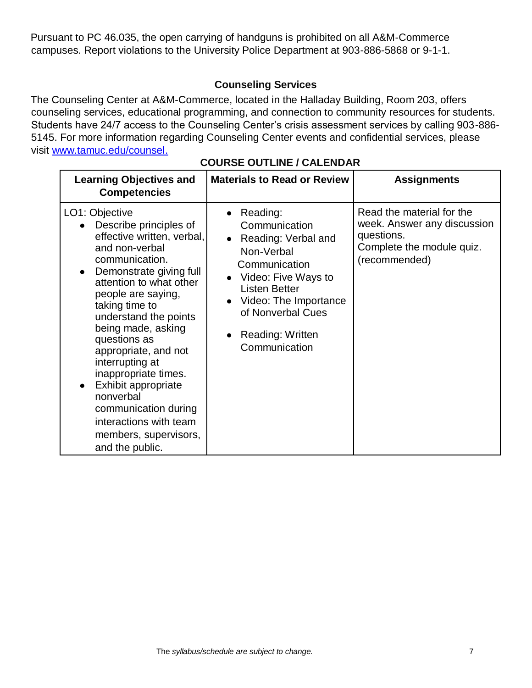Pursuant to PC 46.035, the open carrying of handguns is prohibited on all A&M-Commerce campuses. Report violations to the University Police Department at 903-886-5868 or 9-1-1.

## **Counseling Services**

The Counseling Center at A&M-Commerce, located in the Halladay Building, Room 203, offers counseling services, educational programming, and connection to community resources for students. Students have 24/7 access to the Counseling Center's crisis assessment services by calling 903-886- 5145. For more information regarding Counseling Center events and confidential services, please visit [www.tamuc.edu/counsel.](http://www.tamuc.edu/counsel)

| <b>Learning Objectives and</b><br><b>Competencies</b>                                                                                                                                                                                                                                                                                                                                                                                                                        | <b>Materials to Read or Review</b>                                                                                                                                                                                    | <b>Assignments</b>                                                                                                   |  |  |
|------------------------------------------------------------------------------------------------------------------------------------------------------------------------------------------------------------------------------------------------------------------------------------------------------------------------------------------------------------------------------------------------------------------------------------------------------------------------------|-----------------------------------------------------------------------------------------------------------------------------------------------------------------------------------------------------------------------|----------------------------------------------------------------------------------------------------------------------|--|--|
| LO1: Objective<br>Describe principles of<br>effective written, verbal,<br>and non-verbal<br>communication.<br>Demonstrate giving full<br>attention to what other<br>people are saying,<br>taking time to<br>understand the points<br>being made, asking<br>questions as<br>appropriate, and not<br>interrupting at<br>inappropriate times.<br>Exhibit appropriate<br>nonverbal<br>communication during<br>interactions with team<br>members, supervisors,<br>and the public. | Reading:<br>Communication<br>• Reading: Verbal and<br>Non-Verbal<br>Communication<br>• Video: Five Ways to<br><b>Listen Better</b><br>Video: The Importance<br>of Nonverbal Cues<br>Reading: Written<br>Communication | Read the material for the<br>week. Answer any discussion<br>questions.<br>Complete the module quiz.<br>(recommended) |  |  |

#### **COURSE OUTLINE / CALENDAR**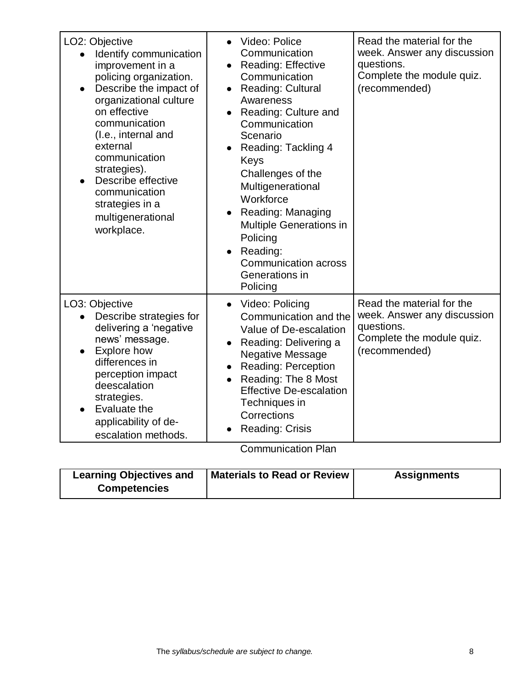| LO2: Objective<br>Identify communication<br>improvement in a<br>policing organization.<br>Describe the impact of<br>organizational culture<br>on effective<br>communication<br>(I.e., internal and<br>external<br>communication<br>strategies).<br>Describe effective<br>communication<br>strategies in a<br>multigenerational<br>workplace. | Video: Police<br>$\bullet$<br>Communication<br><b>Reading: Effective</b><br>$\bullet$<br>Communication<br><b>Reading: Cultural</b><br>$\bullet$<br>Awareness<br>Reading: Culture and<br>Communication<br>Scenario<br>Reading: Tackling 4<br>$\bullet$<br>Keys<br>Challenges of the<br>Multigenerational<br>Workforce<br>Reading: Managing<br>Multiple Generations in<br>Policing<br>Reading:<br><b>Communication across</b><br>Generations in | Read the material for the<br>week. Answer any discussion<br>questions.<br>Complete the module quiz.<br>(recommended) |
|----------------------------------------------------------------------------------------------------------------------------------------------------------------------------------------------------------------------------------------------------------------------------------------------------------------------------------------------|-----------------------------------------------------------------------------------------------------------------------------------------------------------------------------------------------------------------------------------------------------------------------------------------------------------------------------------------------------------------------------------------------------------------------------------------------|----------------------------------------------------------------------------------------------------------------------|
| LO3: Objective<br>Describe strategies for<br>delivering a 'negative<br>news' message.<br><b>Explore how</b><br>differences in<br>perception impact<br>deescalation<br>strategies.<br>Evaluate the<br>applicability of de-<br>escalation methods.                                                                                             | Policing<br>Video: Policing<br>$\bullet$<br>Communication and the<br>Value of De-escalation<br>Reading: Delivering a<br>$\bullet$<br><b>Negative Message</b><br><b>Reading: Perception</b><br>$\bullet$<br>Reading: The 8 Most<br>$\bullet$<br><b>Effective De-escalation</b><br>Techniques in<br>Corrections<br>Reading: Crisis                                                                                                              | Read the material for the<br>week. Answer any discussion<br>questions.<br>Complete the module quiz.<br>(recommended) |

Communication Plan

| <b>Learning Objectives and</b> | <b>Materials to Read or Review</b> | <b>Assignments</b> |
|--------------------------------|------------------------------------|--------------------|
| <b>Competencies</b>            |                                    |                    |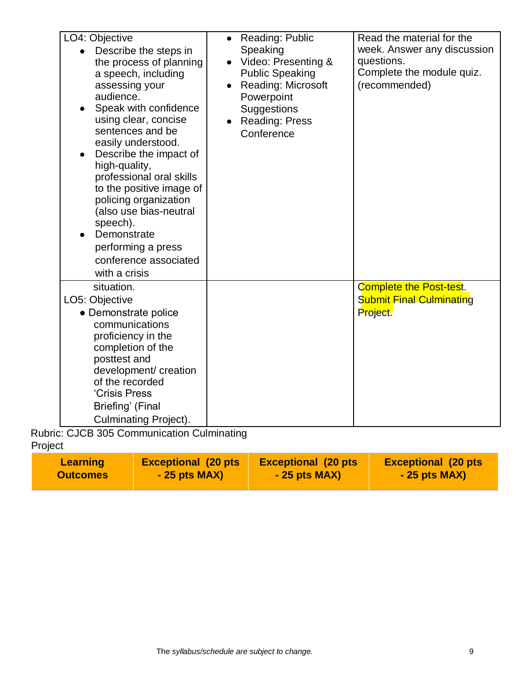| LO4: Objective<br>Describe the steps in<br>the process of planning<br>a speech, including<br>assessing your<br>audience.<br>Speak with confidence<br>using clear, concise<br>sentences and be<br>easily understood.<br>Describe the impact of<br>$\bullet$<br>high-quality,<br>professional oral skills<br>to the positive image of<br>policing organization<br>(also use bias-neutral<br>speech).<br>Demonstrate<br>performing a press<br>conference associated<br>with a crisis | Reading: Public<br>$\bullet$<br>Speaking<br>Video: Presenting &<br><b>Public Speaking</b><br><b>Reading: Microsoft</b><br>Powerpoint<br>Suggestions<br>Reading: Press<br>Conference | Read the material for the<br>week. Answer any discussion<br>questions.<br>Complete the module quiz.<br>(recommended) |
|-----------------------------------------------------------------------------------------------------------------------------------------------------------------------------------------------------------------------------------------------------------------------------------------------------------------------------------------------------------------------------------------------------------------------------------------------------------------------------------|-------------------------------------------------------------------------------------------------------------------------------------------------------------------------------------|----------------------------------------------------------------------------------------------------------------------|
| situation.<br>LO5: Objective<br>• Demonstrate police<br>communications<br>proficiency in the<br>completion of the<br>posttest and<br>development/ creation<br>of the recorded<br>'Crisis Press<br>Briefing' (Final<br><b>Culminating Project).</b>                                                                                                                                                                                                                                |                                                                                                                                                                                     | <b>Complete the Post-test.</b><br><b>Submit Final Culminating</b><br>Project.                                        |

Rubric: CJCB 305 Communication Culminating Project

| <b>Learning</b> | <b>Exceptional (20 pts)</b> | <b>Exceptional (20 pts)</b> | <b>Exceptional (20 pts)</b> |
|-----------------|-----------------------------|-----------------------------|-----------------------------|
| <b>Outcomes</b> | $-25$ pts MAX)              | $-25$ pts MAX)              | $-25$ pts MAX)              |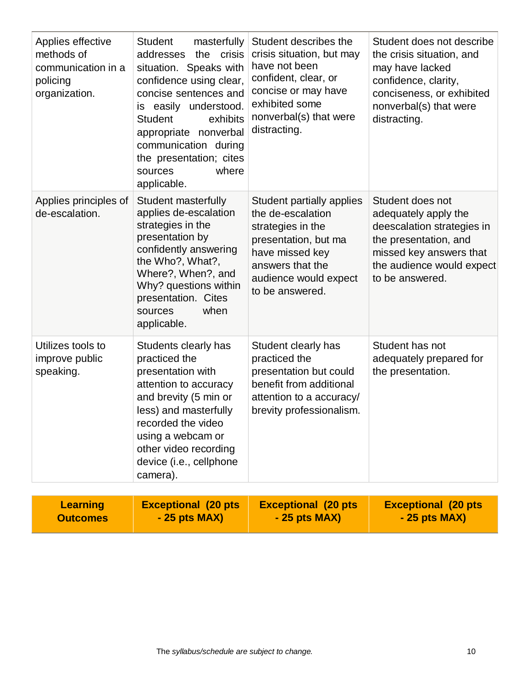| Applies effective<br>methods of<br>communication in a<br>policing<br>organization. | <b>Student</b><br>masterfully<br>addresses<br>the<br>crisis<br>situation. Speaks with<br>confidence using clear,<br>concise sentences and<br>easily understood.<br>is<br><b>Student</b><br>exhibits<br>appropriate nonverbal<br>communication during<br>the presentation; cites<br>where<br>sources<br>applicable. | Student describes the<br>crisis situation, but may<br>have not been<br>confident, clear, or<br>concise or may have<br>exhibited some<br>nonverbal(s) that were<br>distracting. | Student does not describe<br>the crisis situation, and<br>may have lacked<br>confidence, clarity,<br>conciseness, or exhibited<br>nonverbal(s) that were<br>distracting.   |
|------------------------------------------------------------------------------------|--------------------------------------------------------------------------------------------------------------------------------------------------------------------------------------------------------------------------------------------------------------------------------------------------------------------|--------------------------------------------------------------------------------------------------------------------------------------------------------------------------------|----------------------------------------------------------------------------------------------------------------------------------------------------------------------------|
| Applies principles of<br>de-escalation.                                            | <b>Student masterfully</b><br>applies de-escalation<br>strategies in the<br>presentation by<br>confidently answering<br>the Who?, What?,<br>Where?, When?, and<br>Why? questions within<br>presentation. Cites<br>when<br>sources<br>applicable.                                                                   | Student partially applies<br>the de-escalation<br>strategies in the<br>presentation, but ma<br>have missed key<br>answers that the<br>audience would expect<br>to be answered. | Student does not<br>adequately apply the<br>deescalation strategies in<br>the presentation, and<br>missed key answers that<br>the audience would expect<br>to be answered. |
| Utilizes tools to<br>improve public<br>speaking.                                   | Students clearly has<br>practiced the<br>presentation with<br>attention to accuracy<br>and brevity (5 min or<br>less) and masterfully<br>recorded the video<br>using a webcam or<br>other video recording<br>device (i.e., cellphone<br>camera).                                                                   | Student clearly has<br>practiced the<br>presentation but could<br>benefit from additional<br>attention to a accuracy/<br>brevity professionalism.                              | Student has not<br>adequately prepared for<br>the presentation.                                                                                                            |

| <b>Exceptional (20 pts)</b><br><b>Exceptional (20 pts)</b><br><b>Exceptional (20 pts)</b><br><b>Learning</b><br>$-25$ pts MAX)<br>$-25$ pts MAX)<br>$-25$ pts MAX)<br><b>Outcomes</b> |
|---------------------------------------------------------------------------------------------------------------------------------------------------------------------------------------|
|---------------------------------------------------------------------------------------------------------------------------------------------------------------------------------------|